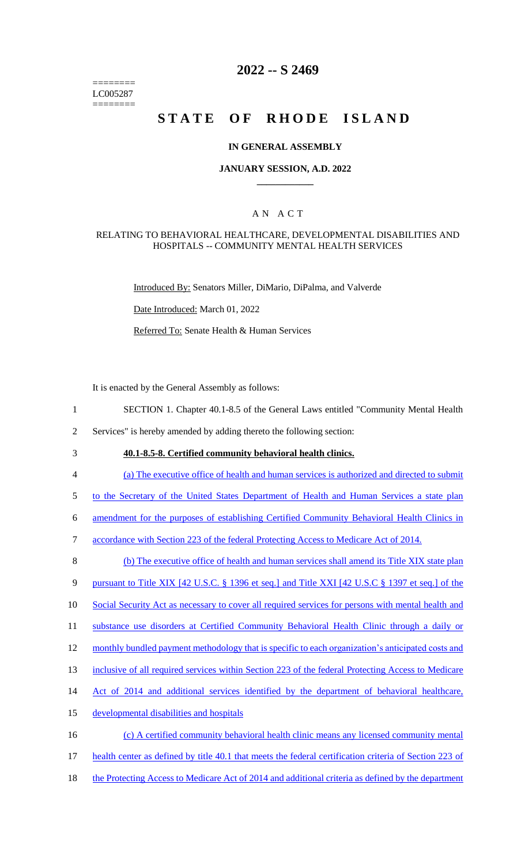======== LC005287 ========

### **2022 -- S 2469**

# **STATE OF RHODE ISLAND**

#### **IN GENERAL ASSEMBLY**

#### **JANUARY SESSION, A.D. 2022 \_\_\_\_\_\_\_\_\_\_\_\_**

### A N A C T

#### RELATING TO BEHAVIORAL HEALTHCARE, DEVELOPMENTAL DISABILITIES AND HOSPITALS -- COMMUNITY MENTAL HEALTH SERVICES

Introduced By: Senators Miller, DiMario, DiPalma, and Valverde

Date Introduced: March 01, 2022

Referred To: Senate Health & Human Services

It is enacted by the General Assembly as follows:

1 SECTION 1. Chapter 40.1-8.5 of the General Laws entitled "Community Mental Health

2 Services" is hereby amended by adding thereto the following section:

3 **40.1-8.5-8. Certified community behavioral health clinics.**

4 (a) The executive office of health and human services is authorized and directed to submit

5 to the Secretary of the United States Department of Health and Human Services a state plan

6 amendment for the purposes of establishing Certified Community Behavioral Health Clinics in

7 accordance with Section 223 of the federal Protecting Access to Medicare Act of 2014.

8 (b) The executive office of health and human services shall amend its Title XIX state plan

9 pursuant to Title XIX [42 U.S.C. § 1396 et seq.] and Title XXI [42 U.S.C § 1397 et seq.] of the

10 Social Security Act as necessary to cover all required services for persons with mental health and

11 substance use disorders at Certified Community Behavioral Health Clinic through a daily or

12 monthly bundled payment methodology that is specific to each organization's anticipated costs and

13 inclusive of all required services within Section 223 of the federal Protecting Access to Medicare

- 14 Act of 2014 and additional services identified by the department of behavioral healthcare,
- 15 developmental disabilities and hospitals
- 16 (c) A certified community behavioral health clinic means any licensed community mental
- 17 health center as defined by title 40.1 that meets the federal certification criteria of Section 223 of
- 18 the Protecting Access to Medicare Act of 2014 and additional criteria as defined by the department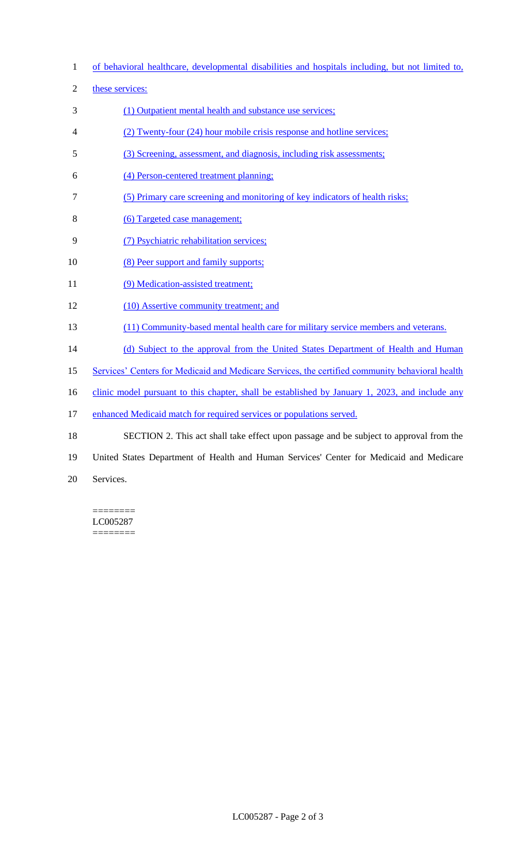- 1 of behavioral healthcare, developmental disabilities and hospitals including, but not limited to,
- 2 these services:
- 3 (1) Outpatient mental health and substance use services;
- 4 (2) Twenty-four (24) hour mobile crisis response and hotline services;
- 5 (3) Screening, assessment, and diagnosis, including risk assessments;
- 6 (4) Person-centered treatment planning;
- 7 (5) Primary care screening and monitoring of key indicators of health risks;
- 8 (6) Targeted case management;
- 9 (7) Psychiatric rehabilitation services;
- 10 (8) Peer support and family supports;
- 11 (9) Medication-assisted treatment;
- 12 (10) Assertive community treatment; and
- 13 (11) Community-based mental health care for military service members and veterans.
- 14 (d) Subject to the approval from the United States Department of Health and Human
- 15 Services' Centers for Medicaid and Medicare Services, the certified community behavioral health
- 16 clinic model pursuant to this chapter, shall be established by January 1, 2023, and include any
- 17 enhanced Medicaid match for required services or populations served.
- 18 SECTION 2. This act shall take effect upon passage and be subject to approval from the
- 19 United States Department of Health and Human Services' Center for Medicaid and Medicare
- 20 Services.

======== LC005287 ========